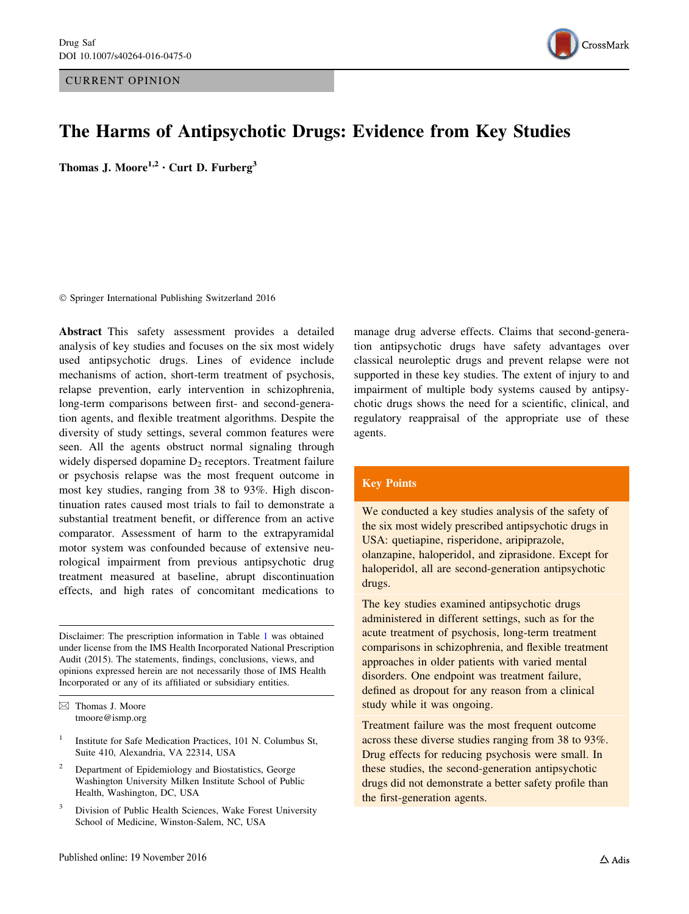CURRENT OPINION



# The Harms of Antipsychotic Drugs: Evidence from Key Studies

Thomas J. Moore<sup>1,2</sup>  $\cdot$  Curt D. Furberg<sup>3</sup>

- Springer International Publishing Switzerland 2016

Abstract This safety assessment provides a detailed analysis of key studies and focuses on the six most widely used antipsychotic drugs. Lines of evidence include mechanisms of action, short-term treatment of psychosis, relapse prevention, early intervention in schizophrenia, long-term comparisons between first- and second-generation agents, and flexible treatment algorithms. Despite the diversity of study settings, several common features were seen. All the agents obstruct normal signaling through widely dispersed dopamine  $D<sub>2</sub>$  receptors. Treatment failure or psychosis relapse was the most frequent outcome in most key studies, ranging from 38 to 93%. High discontinuation rates caused most trials to fail to demonstrate a substantial treatment benefit, or difference from an active comparator. Assessment of harm to the extrapyramidal motor system was confounded because of extensive neurological impairment from previous antipsychotic drug treatment measured at baseline, abrupt discontinuation effects, and high rates of concomitant medications to

Disclaimer: The prescription information in Table [1](#page-1-0) was obtained under license from the IMS Health Incorporated National Prescription Audit (2015). The statements, findings, conclusions, views, and opinions expressed herein are not necessarily those of IMS Health Incorporated or any of its affiliated or subsidiary entities.

- <sup>1</sup> Institute for Safe Medication Practices, 101 N. Columbus St, Suite 410, Alexandria, VA 22314, USA
- <sup>2</sup> Department of Epidemiology and Biostatistics, George Washington University Milken Institute School of Public Health, Washington, DC, USA
- <sup>3</sup> Division of Public Health Sciences, Wake Forest University School of Medicine, Winston-Salem, NC, USA

manage drug adverse effects. Claims that second-generation antipsychotic drugs have safety advantages over classical neuroleptic drugs and prevent relapse were not supported in these key studies. The extent of injury to and impairment of multiple body systems caused by antipsychotic drugs shows the need for a scientific, clinical, and regulatory reappraisal of the appropriate use of these agents.

## Key Points

We conducted a key studies analysis of the safety of the six most widely prescribed antipsychotic drugs in USA: quetiapine, risperidone, aripiprazole, olanzapine, haloperidol, and ziprasidone. Except for haloperidol, all are second-generation antipsychotic drugs.

The key studies examined antipsychotic drugs administered in different settings, such as for the acute treatment of psychosis, long-term treatment comparisons in schizophrenia, and flexible treatment approaches in older patients with varied mental disorders. One endpoint was treatment failure, defined as dropout for any reason from a clinical study while it was ongoing.

Treatment failure was the most frequent outcome across these diverse studies ranging from 38 to 93%. Drug effects for reducing psychosis were small. In these studies, the second-generation antipsychotic drugs did not demonstrate a better safety profile than the first-generation agents.

 $\boxtimes$  Thomas J. Moore tmoore@ismp.org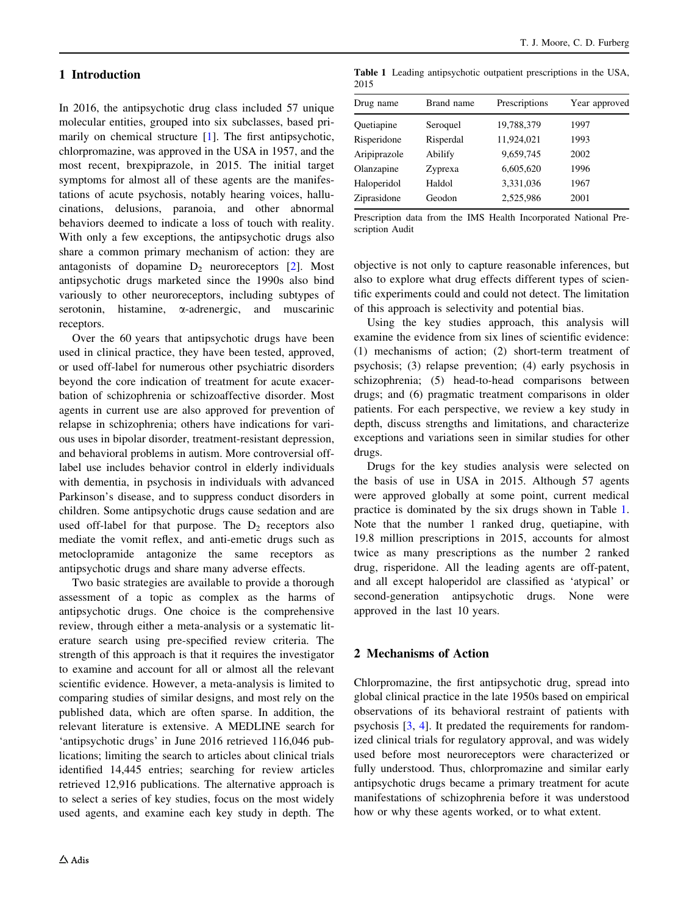## <span id="page-1-0"></span>1 Introduction

In 2016, the antipsychotic drug class included 57 unique molecular entities, grouped into six subclasses, based primarily on chemical structure [[1\]](#page-10-0). The first antipsychotic, chlorpromazine, was approved in the USA in 1957, and the most recent, brexpiprazole, in 2015. The initial target symptoms for almost all of these agents are the manifestations of acute psychosis, notably hearing voices, hallucinations, delusions, paranoia, and other abnormal behaviors deemed to indicate a loss of touch with reality. With only a few exceptions, the antipsychotic drugs also share a common primary mechanism of action: they are antagonists of dopamine  $D_2$  neuroreceptors [\[2](#page-10-0)]. Most antipsychotic drugs marketed since the 1990s also bind variously to other neuroreceptors, including subtypes of serotonin, histamine,  $\alpha$ -adrenergic, and muscarinic receptors.

Over the 60 years that antipsychotic drugs have been used in clinical practice, they have been tested, approved, or used off-label for numerous other psychiatric disorders beyond the core indication of treatment for acute exacerbation of schizophrenia or schizoaffective disorder. Most agents in current use are also approved for prevention of relapse in schizophrenia; others have indications for various uses in bipolar disorder, treatment-resistant depression, and behavioral problems in autism. More controversial offlabel use includes behavior control in elderly individuals with dementia, in psychosis in individuals with advanced Parkinson's disease, and to suppress conduct disorders in children. Some antipsychotic drugs cause sedation and are used off-label for that purpose. The  $D_2$  receptors also mediate the vomit reflex, and anti-emetic drugs such as metoclopramide antagonize the same receptors as antipsychotic drugs and share many adverse effects.

Two basic strategies are available to provide a thorough assessment of a topic as complex as the harms of antipsychotic drugs. One choice is the comprehensive review, through either a meta-analysis or a systematic literature search using pre-specified review criteria. The strength of this approach is that it requires the investigator to examine and account for all or almost all the relevant scientific evidence. However, a meta-analysis is limited to comparing studies of similar designs, and most rely on the published data, which are often sparse. In addition, the relevant literature is extensive. A MEDLINE search for 'antipsychotic drugs' in June 2016 retrieved 116,046 publications; limiting the search to articles about clinical trials identified 14,445 entries; searching for review articles retrieved 12,916 publications. The alternative approach is to select a series of key studies, focus on the most widely used agents, and examine each key study in depth. The

Table 1 Leading antipsychotic outpatient prescriptions in the USA, 2015

| Drug name    | Brand name | Prescriptions | Year approved |  |
|--------------|------------|---------------|---------------|--|
| Quetiapine   | Seroquel   | 19,788,379    | 1997          |  |
| Risperidone  | Risperdal  | 11,924,021    | 1993          |  |
| Aripiprazole | Abilify    | 9,659,745     | 2002          |  |
| Olanzapine   | Zyprexa    | 6,605,620     | 1996          |  |
| Haloperidol  | Haldol     | 3,331,036     | 1967          |  |
| Ziprasidone  | Geodon     | 2,525,986     | 2001          |  |

Prescription data from the IMS Health Incorporated National Prescription Audit

objective is not only to capture reasonable inferences, but also to explore what drug effects different types of scientific experiments could and could not detect. The limitation of this approach is selectivity and potential bias.

Using the key studies approach, this analysis will examine the evidence from six lines of scientific evidence: (1) mechanisms of action; (2) short-term treatment of psychosis; (3) relapse prevention; (4) early psychosis in schizophrenia; (5) head-to-head comparisons between drugs; and (6) pragmatic treatment comparisons in older patients. For each perspective, we review a key study in depth, discuss strengths and limitations, and characterize exceptions and variations seen in similar studies for other drugs.

Drugs for the key studies analysis were selected on the basis of use in USA in 2015. Although 57 agents were approved globally at some point, current medical practice is dominated by the six drugs shown in Table 1. Note that the number 1 ranked drug, quetiapine, with 19.8 million prescriptions in 2015, accounts for almost twice as many prescriptions as the number 2 ranked drug, risperidone. All the leading agents are off-patent, and all except haloperidol are classified as 'atypical' or second-generation antipsychotic drugs. None were approved in the last 10 years.

## 2 Mechanisms of Action

Chlorpromazine, the first antipsychotic drug, spread into global clinical practice in the late 1950s based on empirical observations of its behavioral restraint of patients with psychosis [[3,](#page-10-0) [4](#page-10-0)]. It predated the requirements for randomized clinical trials for regulatory approval, and was widely used before most neuroreceptors were characterized or fully understood. Thus, chlorpromazine and similar early antipsychotic drugs became a primary treatment for acute manifestations of schizophrenia before it was understood how or why these agents worked, or to what extent.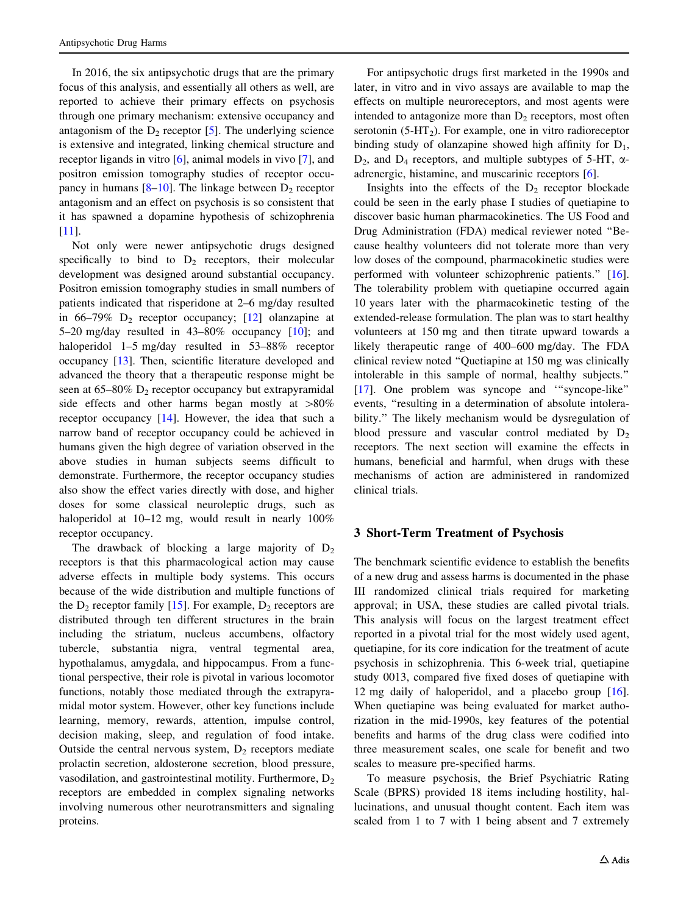In 2016, the six antipsychotic drugs that are the primary focus of this analysis, and essentially all others as well, are reported to achieve their primary effects on psychosis through one primary mechanism: extensive occupancy and antagonism of the  $D_2$  receptor [\[5](#page-10-0)]. The underlying science is extensive and integrated, linking chemical structure and receptor ligands in vitro [[6\]](#page-10-0), animal models in vivo [\[7](#page-10-0)], and positron emission tomography studies of receptor occupancy in humans  $[8-10]$ . The linkage between  $D_2$  receptor antagonism and an effect on psychosis is so consistent that it has spawned a dopamine hypothesis of schizophrenia [\[11](#page-10-0)].

Not only were newer antipsychotic drugs designed specifically to bind to  $D_2$  receptors, their molecular development was designed around substantial occupancy. Positron emission tomography studies in small numbers of patients indicated that risperidone at 2–6 mg/day resulted in 66–79%  $D_2$  receptor occupancy; [[12\]](#page-10-0) olanzapine at 5–20 mg/day resulted in 43–80% occupancy [[10\]](#page-10-0); and haloperidol 1–5 mg/day resulted in 53–88% receptor occupancy [\[13](#page-10-0)]. Then, scientific literature developed and advanced the theory that a therapeutic response might be seen at  $65-80\%$  D<sub>2</sub> receptor occupancy but extrapyramidal side effects and other harms began mostly at  $>80\%$ receptor occupancy [\[14](#page-10-0)]. However, the idea that such a narrow band of receptor occupancy could be achieved in humans given the high degree of variation observed in the above studies in human subjects seems difficult to demonstrate. Furthermore, the receptor occupancy studies also show the effect varies directly with dose, and higher doses for some classical neuroleptic drugs, such as haloperidol at 10–12 mg, would result in nearly 100% receptor occupancy.

The drawback of blocking a large majority of  $D_2$ receptors is that this pharmacological action may cause adverse effects in multiple body systems. This occurs because of the wide distribution and multiple functions of the  $D_2$  receptor family [\[15](#page-10-0)]. For example,  $D_2$  receptors are distributed through ten different structures in the brain including the striatum, nucleus accumbens, olfactory tubercle, substantia nigra, ventral tegmental area, hypothalamus, amygdala, and hippocampus. From a functional perspective, their role is pivotal in various locomotor functions, notably those mediated through the extrapyramidal motor system. However, other key functions include learning, memory, rewards, attention, impulse control, decision making, sleep, and regulation of food intake. Outside the central nervous system,  $D_2$  receptors mediate prolactin secretion, aldosterone secretion, blood pressure, vasodilation, and gastrointestinal motility. Furthermore,  $D_2$ receptors are embedded in complex signaling networks involving numerous other neurotransmitters and signaling proteins.

For antipsychotic drugs first marketed in the 1990s and later, in vitro and in vivo assays are available to map the effects on multiple neuroreceptors, and most agents were intended to antagonize more than  $D<sub>2</sub>$  receptors, most often serotonin  $(5-HT<sub>2</sub>)$ . For example, one in vitro radioreceptor binding study of olanzapine showed high affinity for  $D_1$ ,  $D_2$ , and  $D_4$  receptors, and multiple subtypes of 5-HT,  $\alpha$ adrenergic, histamine, and muscarinic receptors [[6\]](#page-10-0).

Insights into the effects of the  $D_2$  receptor blockade could be seen in the early phase I studies of quetiapine to discover basic human pharmacokinetics. The US Food and Drug Administration (FDA) medical reviewer noted ''Because healthy volunteers did not tolerate more than very low doses of the compound, pharmacokinetic studies were performed with volunteer schizophrenic patients.'' [\[16](#page-10-0)]. The tolerability problem with quetiapine occurred again 10 years later with the pharmacokinetic testing of the extended-release formulation. The plan was to start healthy volunteers at 150 mg and then titrate upward towards a likely therapeutic range of 400–600 mg/day. The FDA clinical review noted ''Quetiapine at 150 mg was clinically intolerable in this sample of normal, healthy subjects.'' [\[17](#page-10-0)]. One problem was syncope and '''syncope-like'' events, ''resulting in a determination of absolute intolerability.'' The likely mechanism would be dysregulation of blood pressure and vascular control mediated by  $D_2$ receptors. The next section will examine the effects in humans, beneficial and harmful, when drugs with these mechanisms of action are administered in randomized clinical trials.

# 3 Short-Term Treatment of Psychosis

The benchmark scientific evidence to establish the benefits of a new drug and assess harms is documented in the phase III randomized clinical trials required for marketing approval; in USA, these studies are called pivotal trials. This analysis will focus on the largest treatment effect reported in a pivotal trial for the most widely used agent, quetiapine, for its core indication for the treatment of acute psychosis in schizophrenia. This 6-week trial, quetiapine study 0013, compared five fixed doses of quetiapine with 12 mg daily of haloperidol, and a placebo group [\[16](#page-10-0)]. When quetiapine was being evaluated for market authorization in the mid-1990s, key features of the potential benefits and harms of the drug class were codified into three measurement scales, one scale for benefit and two scales to measure pre-specified harms.

To measure psychosis, the Brief Psychiatric Rating Scale (BPRS) provided 18 items including hostility, hallucinations, and unusual thought content. Each item was scaled from 1 to 7 with 1 being absent and 7 extremely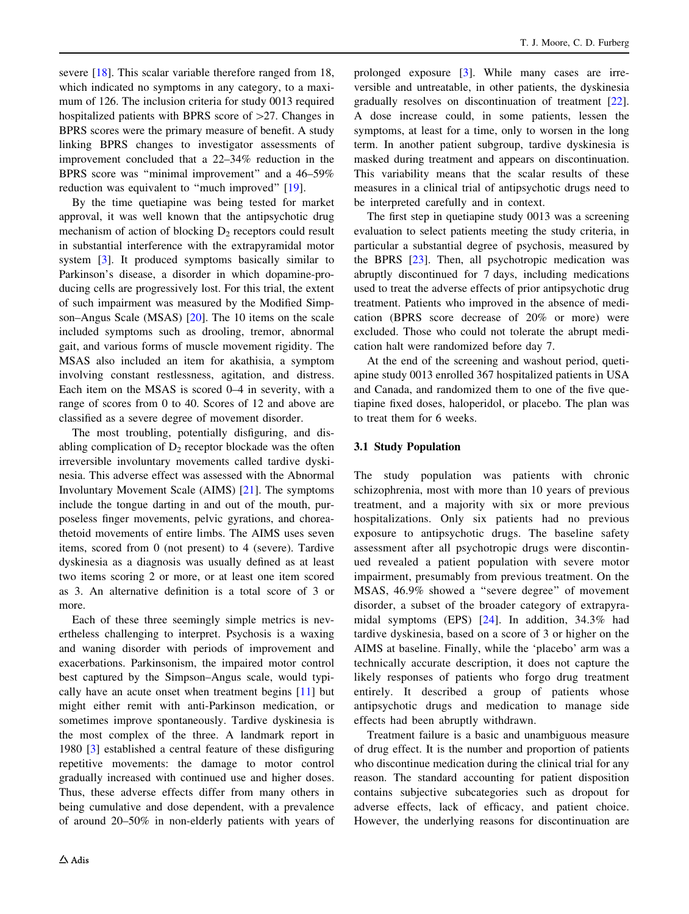severe [[18\]](#page-10-0). This scalar variable therefore ranged from 18, which indicated no symptoms in any category, to a maximum of 126. The inclusion criteria for study 0013 required hospitalized patients with BPRS score of  $>27$ . Changes in BPRS scores were the primary measure of benefit. A study linking BPRS changes to investigator assessments of improvement concluded that a 22–34% reduction in the BPRS score was ''minimal improvement'' and a 46–59% reduction was equivalent to "much improved" [[19\]](#page-10-0).

By the time quetiapine was being tested for market approval, it was well known that the antipsychotic drug mechanism of action of blocking  $D<sub>2</sub>$  receptors could result in substantial interference with the extrapyramidal motor system [[3\]](#page-10-0). It produced symptoms basically similar to Parkinson's disease, a disorder in which dopamine-producing cells are progressively lost. For this trial, the extent of such impairment was measured by the Modified Simpson–Angus Scale (MSAS) [\[20](#page-10-0)]. The 10 items on the scale included symptoms such as drooling, tremor, abnormal gait, and various forms of muscle movement rigidity. The MSAS also included an item for akathisia, a symptom involving constant restlessness, agitation, and distress. Each item on the MSAS is scored 0–4 in severity, with a range of scores from 0 to 40. Scores of 12 and above are classified as a severe degree of movement disorder.

The most troubling, potentially disfiguring, and disabling complication of  $D_2$  receptor blockade was the often irreversible involuntary movements called tardive dyskinesia. This adverse effect was assessed with the Abnormal Involuntary Movement Scale (AIMS) [\[21](#page-10-0)]. The symptoms include the tongue darting in and out of the mouth, purposeless finger movements, pelvic gyrations, and choreathetoid movements of entire limbs. The AIMS uses seven items, scored from 0 (not present) to 4 (severe). Tardive dyskinesia as a diagnosis was usually defined as at least two items scoring 2 or more, or at least one item scored as 3. An alternative definition is a total score of 3 or more.

Each of these three seemingly simple metrics is nevertheless challenging to interpret. Psychosis is a waxing and waning disorder with periods of improvement and exacerbations. Parkinsonism, the impaired motor control best captured by the Simpson–Angus scale, would typically have an acute onset when treatment begins [\[11](#page-10-0)] but might either remit with anti-Parkinson medication, or sometimes improve spontaneously. Tardive dyskinesia is the most complex of the three. A landmark report in 1980 [\[3](#page-10-0)] established a central feature of these disfiguring repetitive movements: the damage to motor control gradually increased with continued use and higher doses. Thus, these adverse effects differ from many others in being cumulative and dose dependent, with a prevalence of around 20–50% in non-elderly patients with years of

prolonged exposure [\[3](#page-10-0)]. While many cases are irreversible and untreatable, in other patients, the dyskinesia gradually resolves on discontinuation of treatment [\[22](#page-10-0)]. A dose increase could, in some patients, lessen the symptoms, at least for a time, only to worsen in the long term. In another patient subgroup, tardive dyskinesia is masked during treatment and appears on discontinuation. This variability means that the scalar results of these measures in a clinical trial of antipsychotic drugs need to be interpreted carefully and in context.

The first step in quetiapine study 0013 was a screening evaluation to select patients meeting the study criteria, in particular a substantial degree of psychosis, measured by the BPRS [[23\]](#page-10-0). Then, all psychotropic medication was abruptly discontinued for 7 days, including medications used to treat the adverse effects of prior antipsychotic drug treatment. Patients who improved in the absence of medication (BPRS score decrease of 20% or more) were excluded. Those who could not tolerate the abrupt medication halt were randomized before day 7.

At the end of the screening and washout period, quetiapine study 0013 enrolled 367 hospitalized patients in USA and Canada, and randomized them to one of the five quetiapine fixed doses, haloperidol, or placebo. The plan was to treat them for 6 weeks.

## 3.1 Study Population

The study population was patients with chronic schizophrenia, most with more than 10 years of previous treatment, and a majority with six or more previous hospitalizations. Only six patients had no previous exposure to antipsychotic drugs. The baseline safety assessment after all psychotropic drugs were discontinued revealed a patient population with severe motor impairment, presumably from previous treatment. On the MSAS, 46.9% showed a ''severe degree'' of movement disorder, a subset of the broader category of extrapyramidal symptoms (EPS) [[24\]](#page-10-0). In addition, 34.3% had tardive dyskinesia, based on a score of 3 or higher on the AIMS at baseline. Finally, while the 'placebo' arm was a technically accurate description, it does not capture the likely responses of patients who forgo drug treatment entirely. It described a group of patients whose antipsychotic drugs and medication to manage side effects had been abruptly withdrawn.

Treatment failure is a basic and unambiguous measure of drug effect. It is the number and proportion of patients who discontinue medication during the clinical trial for any reason. The standard accounting for patient disposition contains subjective subcategories such as dropout for adverse effects, lack of efficacy, and patient choice. However, the underlying reasons for discontinuation are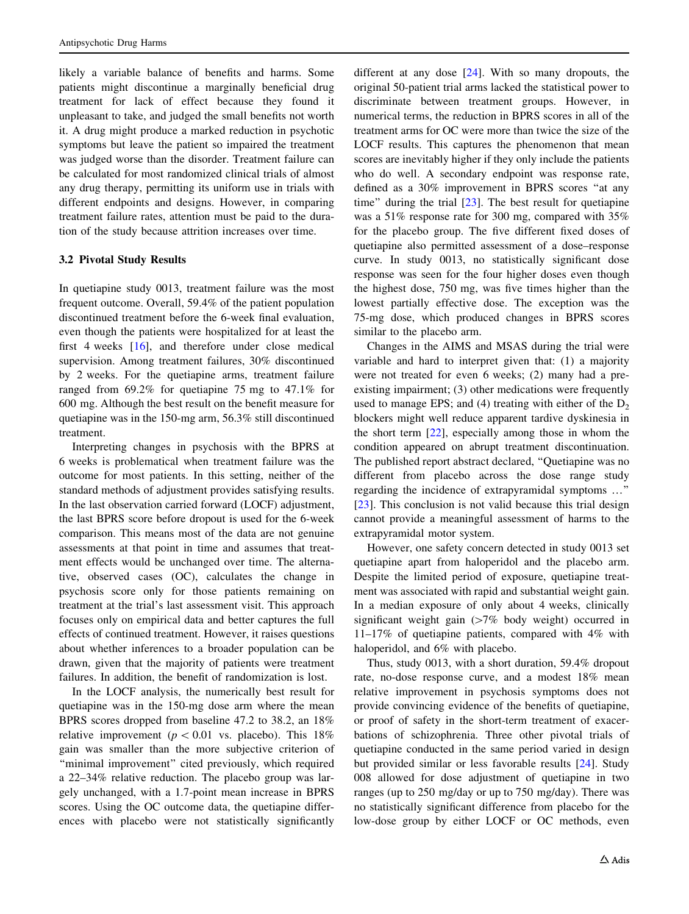likely a variable balance of benefits and harms. Some patients might discontinue a marginally beneficial drug treatment for lack of effect because they found it unpleasant to take, and judged the small benefits not worth it. A drug might produce a marked reduction in psychotic symptoms but leave the patient so impaired the treatment was judged worse than the disorder. Treatment failure can be calculated for most randomized clinical trials of almost any drug therapy, permitting its uniform use in trials with different endpoints and designs. However, in comparing treatment failure rates, attention must be paid to the duration of the study because attrition increases over time.

#### 3.2 Pivotal Study Results

In quetiapine study 0013, treatment failure was the most frequent outcome. Overall, 59.4% of the patient population discontinued treatment before the 6-week final evaluation, even though the patients were hospitalized for at least the first 4 weeks [[16\]](#page-10-0), and therefore under close medical supervision. Among treatment failures, 30% discontinued by 2 weeks. For the quetiapine arms, treatment failure ranged from 69.2% for quetiapine 75 mg to 47.1% for 600 mg. Although the best result on the benefit measure for quetiapine was in the 150-mg arm, 56.3% still discontinued treatment.

Interpreting changes in psychosis with the BPRS at 6 weeks is problematical when treatment failure was the outcome for most patients. In this setting, neither of the standard methods of adjustment provides satisfying results. In the last observation carried forward (LOCF) adjustment, the last BPRS score before dropout is used for the 6-week comparison. This means most of the data are not genuine assessments at that point in time and assumes that treatment effects would be unchanged over time. The alternative, observed cases (OC), calculates the change in psychosis score only for those patients remaining on treatment at the trial's last assessment visit. This approach focuses only on empirical data and better captures the full effects of continued treatment. However, it raises questions about whether inferences to a broader population can be drawn, given that the majority of patients were treatment failures. In addition, the benefit of randomization is lost.

In the LOCF analysis, the numerically best result for quetiapine was in the 150-mg dose arm where the mean BPRS scores dropped from baseline 47.2 to 38.2, an 18% relative improvement ( $p < 0.01$  vs. placebo). This 18% gain was smaller than the more subjective criterion of "minimal improvement" cited previously, which required a 22–34% relative reduction. The placebo group was largely unchanged, with a 1.7-point mean increase in BPRS scores. Using the OC outcome data, the quetiapine differences with placebo were not statistically significantly different at any dose [\[24](#page-10-0)]. With so many dropouts, the original 50-patient trial arms lacked the statistical power to discriminate between treatment groups. However, in numerical terms, the reduction in BPRS scores in all of the treatment arms for OC were more than twice the size of the LOCF results. This captures the phenomenon that mean scores are inevitably higher if they only include the patients who do well. A secondary endpoint was response rate, defined as a 30% improvement in BPRS scores ''at any time'' during the trial [\[23](#page-10-0)]. The best result for quetiapine was a 51% response rate for 300 mg, compared with 35% for the placebo group. The five different fixed doses of quetiapine also permitted assessment of a dose–response curve. In study 0013, no statistically significant dose response was seen for the four higher doses even though the highest dose, 750 mg, was five times higher than the lowest partially effective dose. The exception was the 75-mg dose, which produced changes in BPRS scores similar to the placebo arm.

Changes in the AIMS and MSAS during the trial were variable and hard to interpret given that: (1) a majority were not treated for even 6 weeks; (2) many had a preexisting impairment; (3) other medications were frequently used to manage EPS; and (4) treating with either of the  $D<sub>2</sub>$ blockers might well reduce apparent tardive dyskinesia in the short term [[22\]](#page-10-0), especially among those in whom the condition appeared on abrupt treatment discontinuation. The published report abstract declared, ''Quetiapine was no different from placebo across the dose range study regarding the incidence of extrapyramidal symptoms …'' [\[23](#page-10-0)]. This conclusion is not valid because this trial design cannot provide a meaningful assessment of harms to the extrapyramidal motor system.

However, one safety concern detected in study 0013 set quetiapine apart from haloperidol and the placebo arm. Despite the limited period of exposure, quetiapine treatment was associated with rapid and substantial weight gain. In a median exposure of only about 4 weeks, clinically significant weight gain  $(>7\%$  body weight) occurred in 11–17% of quetiapine patients, compared with 4% with haloperidol, and 6% with placebo.

Thus, study 0013, with a short duration, 59.4% dropout rate, no-dose response curve, and a modest 18% mean relative improvement in psychosis symptoms does not provide convincing evidence of the benefits of quetiapine, or proof of safety in the short-term treatment of exacerbations of schizophrenia. Three other pivotal trials of quetiapine conducted in the same period varied in design but provided similar or less favorable results [\[24](#page-10-0)]. Study 008 allowed for dose adjustment of quetiapine in two ranges (up to 250 mg/day or up to 750 mg/day). There was no statistically significant difference from placebo for the low-dose group by either LOCF or OC methods, even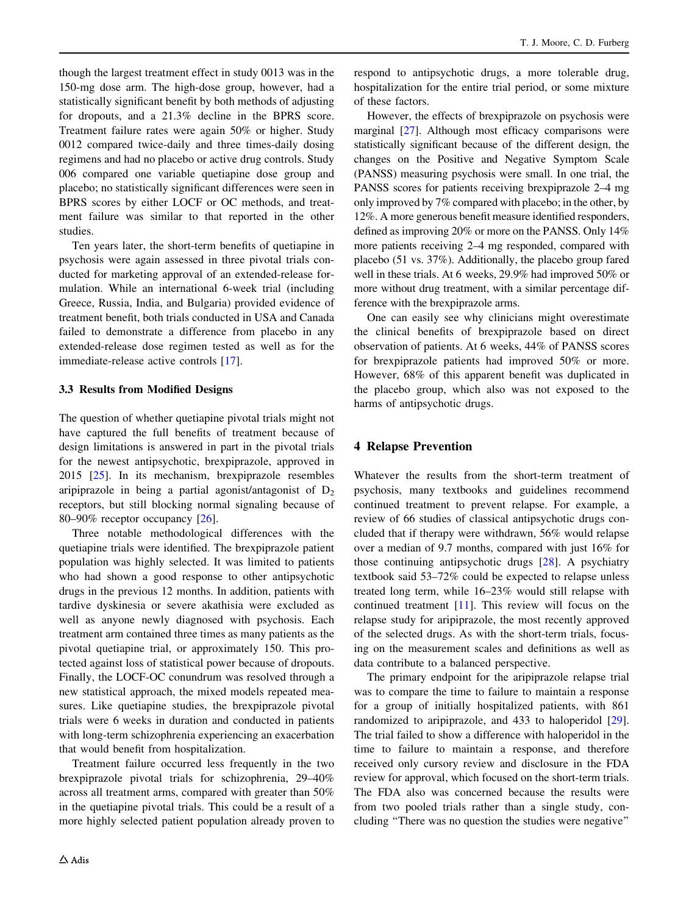though the largest treatment effect in study 0013 was in the 150-mg dose arm. The high-dose group, however, had a statistically significant benefit by both methods of adjusting for dropouts, and a 21.3% decline in the BPRS score. Treatment failure rates were again 50% or higher. Study 0012 compared twice-daily and three times-daily dosing regimens and had no placebo or active drug controls. Study 006 compared one variable quetiapine dose group and placebo; no statistically significant differences were seen in BPRS scores by either LOCF or OC methods, and treatment failure was similar to that reported in the other studies.

Ten years later, the short-term benefits of quetiapine in psychosis were again assessed in three pivotal trials conducted for marketing approval of an extended-release formulation. While an international 6-week trial (including Greece, Russia, India, and Bulgaria) provided evidence of treatment benefit, both trials conducted in USA and Canada failed to demonstrate a difference from placebo in any extended-release dose regimen tested as well as for the immediate-release active controls [\[17](#page-10-0)].

#### 3.3 Results from Modified Designs

The question of whether quetiapine pivotal trials might not have captured the full benefits of treatment because of design limitations is answered in part in the pivotal trials for the newest antipsychotic, brexpiprazole, approved in 2015 [[25\]](#page-10-0). In its mechanism, brexpiprazole resembles aripiprazole in being a partial agonist/antagonist of  $D_2$ receptors, but still blocking normal signaling because of 80–90% receptor occupancy [\[26](#page-10-0)].

Three notable methodological differences with the quetiapine trials were identified. The brexpiprazole patient population was highly selected. It was limited to patients who had shown a good response to other antipsychotic drugs in the previous 12 months. In addition, patients with tardive dyskinesia or severe akathisia were excluded as well as anyone newly diagnosed with psychosis. Each treatment arm contained three times as many patients as the pivotal quetiapine trial, or approximately 150. This protected against loss of statistical power because of dropouts. Finally, the LOCF-OC conundrum was resolved through a new statistical approach, the mixed models repeated measures. Like quetiapine studies, the brexpiprazole pivotal trials were 6 weeks in duration and conducted in patients with long-term schizophrenia experiencing an exacerbation that would benefit from hospitalization.

Treatment failure occurred less frequently in the two brexpiprazole pivotal trials for schizophrenia, 29–40% across all treatment arms, compared with greater than 50% in the quetiapine pivotal trials. This could be a result of a more highly selected patient population already proven to

respond to antipsychotic drugs, a more tolerable drug, hospitalization for the entire trial period, or some mixture of these factors.

However, the effects of brexpiprazole on psychosis were marginal [\[27\]](#page-10-0). Although most efficacy comparisons were statistically significant because of the different design, the changes on the Positive and Negative Symptom Scale (PANSS) measuring psychosis were small. In one trial, the PANSS scores for patients receiving brexpiprazole 2–4 mg only improved by 7% compared with placebo; in the other, by 12%. A more generous benefit measure identified responders, defined as improving 20% or more on the PANSS. Only 14% more patients receiving 2–4 mg responded, compared with placebo (51 vs. 37%). Additionally, the placebo group fared well in these trials. At 6 weeks, 29.9% had improved 50% or more without drug treatment, with a similar percentage difference with the brexpiprazole arms.

One can easily see why clinicians might overestimate the clinical benefits of brexpiprazole based on direct observation of patients. At 6 weeks, 44% of PANSS scores for brexpiprazole patients had improved 50% or more. However, 68% of this apparent benefit was duplicated in the placebo group, which also was not exposed to the harms of antipsychotic drugs.

# 4 Relapse Prevention

Whatever the results from the short-term treatment of psychosis, many textbooks and guidelines recommend continued treatment to prevent relapse. For example, a review of 66 studies of classical antipsychotic drugs concluded that if therapy were withdrawn, 56% would relapse over a median of 9.7 months, compared with just 16% for those continuing antipsychotic drugs [\[28](#page-10-0)]. A psychiatry textbook said 53–72% could be expected to relapse unless treated long term, while 16–23% would still relapse with continued treatment [\[11](#page-10-0)]. This review will focus on the relapse study for aripiprazole, the most recently approved of the selected drugs. As with the short-term trials, focusing on the measurement scales and definitions as well as data contribute to a balanced perspective.

The primary endpoint for the aripiprazole relapse trial was to compare the time to failure to maintain a response for a group of initially hospitalized patients, with 861 randomized to aripiprazole, and 433 to haloperidol [\[29](#page-10-0)]. The trial failed to show a difference with haloperidol in the time to failure to maintain a response, and therefore received only cursory review and disclosure in the FDA review for approval, which focused on the short-term trials. The FDA also was concerned because the results were from two pooled trials rather than a single study, concluding ''There was no question the studies were negative''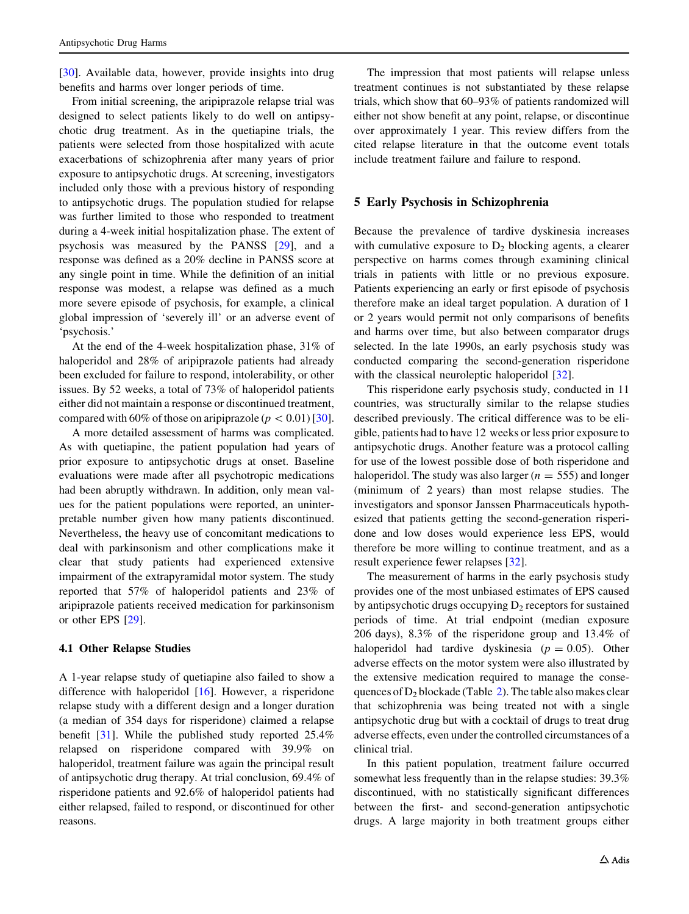[\[30](#page-10-0)]. Available data, however, provide insights into drug benefits and harms over longer periods of time.

From initial screening, the aripiprazole relapse trial was designed to select patients likely to do well on antipsychotic drug treatment. As in the quetiapine trials, the patients were selected from those hospitalized with acute exacerbations of schizophrenia after many years of prior exposure to antipsychotic drugs. At screening, investigators included only those with a previous history of responding to antipsychotic drugs. The population studied for relapse was further limited to those who responded to treatment during a 4-week initial hospitalization phase. The extent of psychosis was measured by the PANSS [[29\]](#page-10-0), and a response was defined as a 20% decline in PANSS score at any single point in time. While the definition of an initial response was modest, a relapse was defined as a much more severe episode of psychosis, for example, a clinical global impression of 'severely ill' or an adverse event of 'psychosis.'

At the end of the 4-week hospitalization phase, 31% of haloperidol and 28% of aripiprazole patients had already been excluded for failure to respond, intolerability, or other issues. By 52 weeks, a total of 73% of haloperidol patients either did not maintain a response or discontinued treatment, compared with 60% of those on aripiprazole ( $p < 0.01$ ) [\[30](#page-10-0)].

A more detailed assessment of harms was complicated. As with quetiapine, the patient population had years of prior exposure to antipsychotic drugs at onset. Baseline evaluations were made after all psychotropic medications had been abruptly withdrawn. In addition, only mean values for the patient populations were reported, an uninterpretable number given how many patients discontinued. Nevertheless, the heavy use of concomitant medications to deal with parkinsonism and other complications make it clear that study patients had experienced extensive impairment of the extrapyramidal motor system. The study reported that 57% of haloperidol patients and 23% of aripiprazole patients received medication for parkinsonism or other EPS [\[29](#page-10-0)].

#### 4.1 Other Relapse Studies

A 1-year relapse study of quetiapine also failed to show a difference with haloperidol [[16\]](#page-10-0). However, a risperidone relapse study with a different design and a longer duration (a median of 354 days for risperidone) claimed a relapse benefit [[31\]](#page-10-0). While the published study reported 25.4% relapsed on risperidone compared with 39.9% on haloperidol, treatment failure was again the principal result of antipsychotic drug therapy. At trial conclusion, 69.4% of risperidone patients and 92.6% of haloperidol patients had either relapsed, failed to respond, or discontinued for other reasons.

The impression that most patients will relapse unless treatment continues is not substantiated by these relapse trials, which show that 60–93% of patients randomized will either not show benefit at any point, relapse, or discontinue over approximately 1 year. This review differs from the cited relapse literature in that the outcome event totals include treatment failure and failure to respond.

## 5 Early Psychosis in Schizophrenia

Because the prevalence of tardive dyskinesia increases with cumulative exposure to  $D_2$  blocking agents, a clearer perspective on harms comes through examining clinical trials in patients with little or no previous exposure. Patients experiencing an early or first episode of psychosis therefore make an ideal target population. A duration of 1 or 2 years would permit not only comparisons of benefits and harms over time, but also between comparator drugs selected. In the late 1990s, an early psychosis study was conducted comparing the second-generation risperidone with the classical neuroleptic haloperidol [[32\]](#page-10-0).

This risperidone early psychosis study, conducted in 11 countries, was structurally similar to the relapse studies described previously. The critical difference was to be eligible, patients had to have 12 weeks or less prior exposure to antipsychotic drugs. Another feature was a protocol calling for use of the lowest possible dose of both risperidone and haloperidol. The study was also larger ( $n = 555$ ) and longer (minimum of 2 years) than most relapse studies. The investigators and sponsor Janssen Pharmaceuticals hypothesized that patients getting the second-generation risperidone and low doses would experience less EPS, would therefore be more willing to continue treatment, and as a result experience fewer relapses [\[32](#page-10-0)].

The measurement of harms in the early psychosis study provides one of the most unbiased estimates of EPS caused by antipsychotic drugs occupying  $D_2$  receptors for sustained periods of time. At trial endpoint (median exposure 206 days), 8.3% of the risperidone group and 13.4% of haloperidol had tardive dyskinesia ( $p = 0.05$ ). Other adverse effects on the motor system were also illustrated by the extensive medication required to manage the consequences of  $D_2$  $D_2$  blockade (Table 2). The table also makes clear that schizophrenia was being treated not with a single antipsychotic drug but with a cocktail of drugs to treat drug adverse effects, even under the controlled circumstances of a clinical trial.

In this patient population, treatment failure occurred somewhat less frequently than in the relapse studies: 39.3% discontinued, with no statistically significant differences between the first- and second-generation antipsychotic drugs. A large majority in both treatment groups either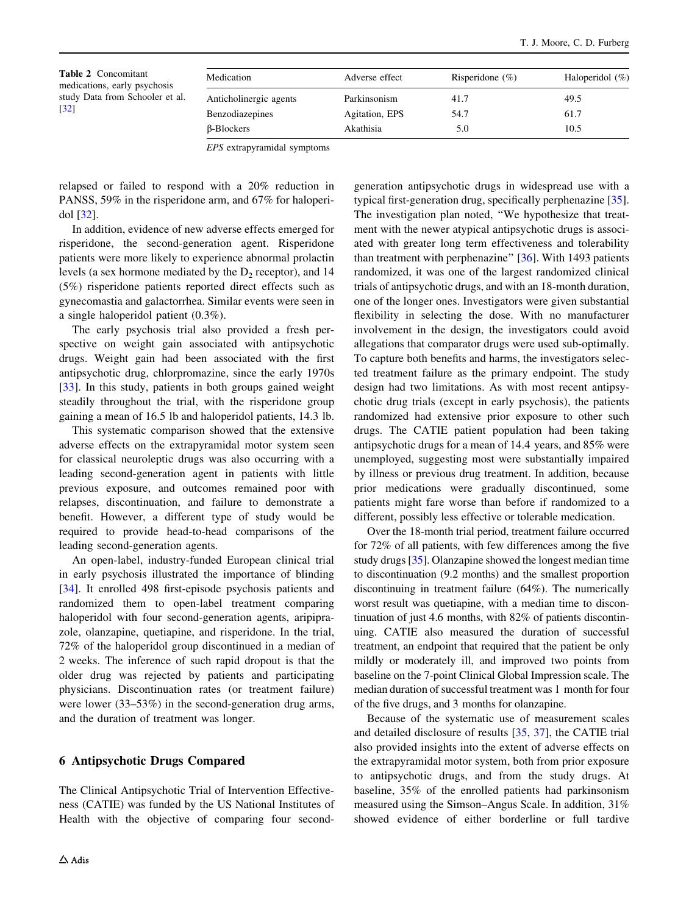<span id="page-7-0"></span>

| <b>Table 2</b> Concomitant<br>medications, early psychosis<br>study Data from Schooler et al.<br>$\left[32\right]$ | Medication             | Adverse effect | Risperidone $(\% )$ | Haloperidol $(\%)$ |
|--------------------------------------------------------------------------------------------------------------------|------------------------|----------------|---------------------|--------------------|
|                                                                                                                    | Anticholinergic agents | Parkinsonism   | 41.7                | 49.5               |
|                                                                                                                    | Benzodiazepines        | Agitation, EPS | 54.7                | 61.7               |
|                                                                                                                    | <b>B-Blockers</b>      | Akathisia      | 5.0                 | 10.5               |

EPS extrapyramidal symptoms

relapsed or failed to respond with a 20% reduction in PANSS, 59% in the risperidone arm, and 67% for haloperidol [[32\]](#page-10-0).

In addition, evidence of new adverse effects emerged for risperidone, the second-generation agent. Risperidone patients were more likely to experience abnormal prolactin levels (a sex hormone mediated by the  $D<sub>2</sub>$  receptor), and 14 (5%) risperidone patients reported direct effects such as gynecomastia and galactorrhea. Similar events were seen in a single haloperidol patient (0.3%).

The early psychosis trial also provided a fresh perspective on weight gain associated with antipsychotic drugs. Weight gain had been associated with the first antipsychotic drug, chlorpromazine, since the early 1970s [\[33](#page-10-0)]. In this study, patients in both groups gained weight steadily throughout the trial, with the risperidone group gaining a mean of 16.5 lb and haloperidol patients, 14.3 lb.

This systematic comparison showed that the extensive adverse effects on the extrapyramidal motor system seen for classical neuroleptic drugs was also occurring with a leading second-generation agent in patients with little previous exposure, and outcomes remained poor with relapses, discontinuation, and failure to demonstrate a benefit. However, a different type of study would be required to provide head-to-head comparisons of the leading second-generation agents.

An open-label, industry-funded European clinical trial in early psychosis illustrated the importance of blinding [\[34](#page-10-0)]. It enrolled 498 first-episode psychosis patients and randomized them to open-label treatment comparing haloperidol with four second-generation agents, aripiprazole, olanzapine, quetiapine, and risperidone. In the trial, 72% of the haloperidol group discontinued in a median of 2 weeks. The inference of such rapid dropout is that the older drug was rejected by patients and participating physicians. Discontinuation rates (or treatment failure) were lower (33–53%) in the second-generation drug arms, and the duration of treatment was longer.

# 6 Antipsychotic Drugs Compared

The Clinical Antipsychotic Trial of Intervention Effectiveness (CATIE) was funded by the US National Institutes of Health with the objective of comparing four secondgeneration antipsychotic drugs in widespread use with a typical first-generation drug, specifically perphenazine [\[35](#page-10-0)]. The investigation plan noted, ''We hypothesize that treatment with the newer atypical antipsychotic drugs is associated with greater long term effectiveness and tolerability than treatment with perphenazine'' [\[36](#page-10-0)]. With 1493 patients randomized, it was one of the largest randomized clinical trials of antipsychotic drugs, and with an 18-month duration, one of the longer ones. Investigators were given substantial flexibility in selecting the dose. With no manufacturer involvement in the design, the investigators could avoid allegations that comparator drugs were used sub-optimally. To capture both benefits and harms, the investigators selected treatment failure as the primary endpoint. The study design had two limitations. As with most recent antipsychotic drug trials (except in early psychosis), the patients randomized had extensive prior exposure to other such drugs. The CATIE patient population had been taking antipsychotic drugs for a mean of 14.4 years, and 85% were unemployed, suggesting most were substantially impaired by illness or previous drug treatment. In addition, because prior medications were gradually discontinued, some patients might fare worse than before if randomized to a different, possibly less effective or tolerable medication.

Over the 18-month trial period, treatment failure occurred for 72% of all patients, with few differences among the five study drugs [\[35\]](#page-10-0). Olanzapine showed the longest median time to discontinuation (9.2 months) and the smallest proportion discontinuing in treatment failure (64%). The numerically worst result was quetiapine, with a median time to discontinuation of just 4.6 months, with 82% of patients discontinuing. CATIE also measured the duration of successful treatment, an endpoint that required that the patient be only mildly or moderately ill, and improved two points from baseline on the 7-point Clinical Global Impression scale. The median duration of successful treatment was 1 month for four of the five drugs, and 3 months for olanzapine.

Because of the systematic use of measurement scales and detailed disclosure of results [[35,](#page-10-0) [37](#page-10-0)], the CATIE trial also provided insights into the extent of adverse effects on the extrapyramidal motor system, both from prior exposure to antipsychotic drugs, and from the study drugs. At baseline, 35% of the enrolled patients had parkinsonism measured using the Simson–Angus Scale. In addition, 31% showed evidence of either borderline or full tardive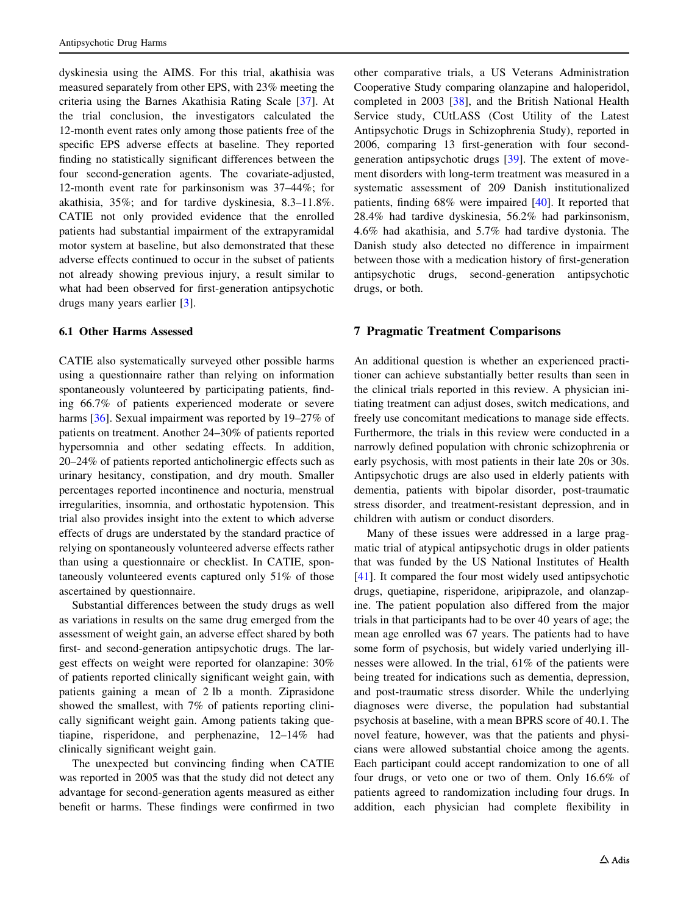dyskinesia using the AIMS. For this trial, akathisia was measured separately from other EPS, with 23% meeting the criteria using the Barnes Akathisia Rating Scale [\[37](#page-10-0)]. At the trial conclusion, the investigators calculated the 12-month event rates only among those patients free of the specific EPS adverse effects at baseline. They reported finding no statistically significant differences between the four second-generation agents. The covariate-adjusted, 12-month event rate for parkinsonism was 37–44%; for akathisia, 35%; and for tardive dyskinesia, 8.3–11.8%. CATIE not only provided evidence that the enrolled patients had substantial impairment of the extrapyramidal motor system at baseline, but also demonstrated that these adverse effects continued to occur in the subset of patients not already showing previous injury, a result similar to what had been observed for first-generation antipsychotic drugs many years earlier [[3\]](#page-10-0).

## 6.1 Other Harms Assessed

CATIE also systematically surveyed other possible harms using a questionnaire rather than relying on information spontaneously volunteered by participating patients, finding 66.7% of patients experienced moderate or severe harms [\[36](#page-10-0)]. Sexual impairment was reported by 19–27% of patients on treatment. Another 24–30% of patients reported hypersomnia and other sedating effects. In addition, 20–24% of patients reported anticholinergic effects such as urinary hesitancy, constipation, and dry mouth. Smaller percentages reported incontinence and nocturia, menstrual irregularities, insomnia, and orthostatic hypotension. This trial also provides insight into the extent to which adverse effects of drugs are understated by the standard practice of relying on spontaneously volunteered adverse effects rather than using a questionnaire or checklist. In CATIE, spontaneously volunteered events captured only 51% of those ascertained by questionnaire.

Substantial differences between the study drugs as well as variations in results on the same drug emerged from the assessment of weight gain, an adverse effect shared by both first- and second-generation antipsychotic drugs. The largest effects on weight were reported for olanzapine: 30% of patients reported clinically significant weight gain, with patients gaining a mean of 2 lb a month. Ziprasidone showed the smallest, with 7% of patients reporting clinically significant weight gain. Among patients taking quetiapine, risperidone, and perphenazine, 12–14% had clinically significant weight gain.

The unexpected but convincing finding when CATIE was reported in 2005 was that the study did not detect any advantage for second-generation agents measured as either benefit or harms. These findings were confirmed in two other comparative trials, a US Veterans Administration Cooperative Study comparing olanzapine and haloperidol, completed in 2003 [[38\]](#page-10-0), and the British National Health Service study, CUtLASS (Cost Utility of the Latest Antipsychotic Drugs in Schizophrenia Study), reported in 2006, comparing 13 first-generation with four secondgeneration antipsychotic drugs [[39\]](#page-10-0). The extent of movement disorders with long-term treatment was measured in a systematic assessment of 209 Danish institutionalized patients, finding 68% were impaired [[40\]](#page-11-0). It reported that 28.4% had tardive dyskinesia, 56.2% had parkinsonism, 4.6% had akathisia, and 5.7% had tardive dystonia. The Danish study also detected no difference in impairment between those with a medication history of first-generation antipsychotic drugs, second-generation antipsychotic drugs, or both.

#### 7 Pragmatic Treatment Comparisons

An additional question is whether an experienced practitioner can achieve substantially better results than seen in the clinical trials reported in this review. A physician initiating treatment can adjust doses, switch medications, and freely use concomitant medications to manage side effects. Furthermore, the trials in this review were conducted in a narrowly defined population with chronic schizophrenia or early psychosis, with most patients in their late 20s or 30s. Antipsychotic drugs are also used in elderly patients with dementia, patients with bipolar disorder, post-traumatic stress disorder, and treatment-resistant depression, and in children with autism or conduct disorders.

Many of these issues were addressed in a large pragmatic trial of atypical antipsychotic drugs in older patients that was funded by the US National Institutes of Health [\[41](#page-11-0)]. It compared the four most widely used antipsychotic drugs, quetiapine, risperidone, aripiprazole, and olanzapine. The patient population also differed from the major trials in that participants had to be over 40 years of age; the mean age enrolled was 67 years. The patients had to have some form of psychosis, but widely varied underlying illnesses were allowed. In the trial, 61% of the patients were being treated for indications such as dementia, depression, and post-traumatic stress disorder. While the underlying diagnoses were diverse, the population had substantial psychosis at baseline, with a mean BPRS score of 40.1. The novel feature, however, was that the patients and physicians were allowed substantial choice among the agents. Each participant could accept randomization to one of all four drugs, or veto one or two of them. Only 16.6% of patients agreed to randomization including four drugs. In addition, each physician had complete flexibility in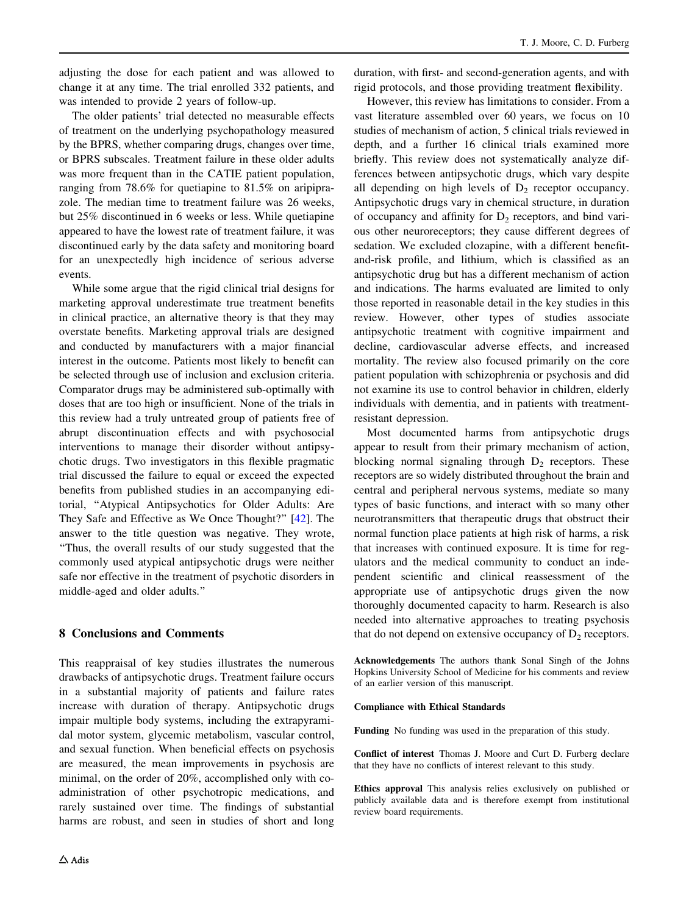adjusting the dose for each patient and was allowed to change it at any time. The trial enrolled 332 patients, and was intended to provide 2 years of follow-up.

The older patients' trial detected no measurable effects of treatment on the underlying psychopathology measured by the BPRS, whether comparing drugs, changes over time, or BPRS subscales. Treatment failure in these older adults was more frequent than in the CATIE patient population, ranging from 78.6% for quetiapine to 81.5% on aripiprazole. The median time to treatment failure was 26 weeks, but 25% discontinued in 6 weeks or less. While quetiapine appeared to have the lowest rate of treatment failure, it was discontinued early by the data safety and monitoring board for an unexpectedly high incidence of serious adverse events.

While some argue that the rigid clinical trial designs for marketing approval underestimate true treatment benefits in clinical practice, an alternative theory is that they may overstate benefits. Marketing approval trials are designed and conducted by manufacturers with a major financial interest in the outcome. Patients most likely to benefit can be selected through use of inclusion and exclusion criteria. Comparator drugs may be administered sub-optimally with doses that are too high or insufficient. None of the trials in this review had a truly untreated group of patients free of abrupt discontinuation effects and with psychosocial interventions to manage their disorder without antipsychotic drugs. Two investigators in this flexible pragmatic trial discussed the failure to equal or exceed the expected benefits from published studies in an accompanying editorial, ''Atypical Antipsychotics for Older Adults: Are They Safe and Effective as We Once Thought?'' [[42\]](#page-11-0). The answer to the title question was negative. They wrote, ''Thus, the overall results of our study suggested that the commonly used atypical antipsychotic drugs were neither safe nor effective in the treatment of psychotic disorders in middle-aged and older adults.''

## 8 Conclusions and Comments

This reappraisal of key studies illustrates the numerous drawbacks of antipsychotic drugs. Treatment failure occurs in a substantial majority of patients and failure rates increase with duration of therapy. Antipsychotic drugs impair multiple body systems, including the extrapyramidal motor system, glycemic metabolism, vascular control, and sexual function. When beneficial effects on psychosis are measured, the mean improvements in psychosis are minimal, on the order of 20%, accomplished only with coadministration of other psychotropic medications, and rarely sustained over time. The findings of substantial harms are robust, and seen in studies of short and long

duration, with first- and second-generation agents, and with rigid protocols, and those providing treatment flexibility.

However, this review has limitations to consider. From a vast literature assembled over 60 years, we focus on 10 studies of mechanism of action, 5 clinical trials reviewed in depth, and a further 16 clinical trials examined more briefly. This review does not systematically analyze differences between antipsychotic drugs, which vary despite all depending on high levels of  $D<sub>2</sub>$  receptor occupancy. Antipsychotic drugs vary in chemical structure, in duration of occupancy and affinity for  $D_2$  receptors, and bind various other neuroreceptors; they cause different degrees of sedation. We excluded clozapine, with a different benefitand-risk profile, and lithium, which is classified as an antipsychotic drug but has a different mechanism of action and indications. The harms evaluated are limited to only those reported in reasonable detail in the key studies in this review. However, other types of studies associate antipsychotic treatment with cognitive impairment and decline, cardiovascular adverse effects, and increased mortality. The review also focused primarily on the core patient population with schizophrenia or psychosis and did not examine its use to control behavior in children, elderly individuals with dementia, and in patients with treatmentresistant depression.

Most documented harms from antipsychotic drugs appear to result from their primary mechanism of action, blocking normal signaling through  $D_2$  receptors. These receptors are so widely distributed throughout the brain and central and peripheral nervous systems, mediate so many types of basic functions, and interact with so many other neurotransmitters that therapeutic drugs that obstruct their normal function place patients at high risk of harms, a risk that increases with continued exposure. It is time for regulators and the medical community to conduct an independent scientific and clinical reassessment of the appropriate use of antipsychotic drugs given the now thoroughly documented capacity to harm. Research is also needed into alternative approaches to treating psychosis that do not depend on extensive occupancy of  $D_2$  receptors.

Acknowledgements The authors thank Sonal Singh of the Johns Hopkins University School of Medicine for his comments and review of an earlier version of this manuscript.

#### Compliance with Ethical Standards

Funding No funding was used in the preparation of this study.

Conflict of interest Thomas J. Moore and Curt D. Furberg declare that they have no conflicts of interest relevant to this study.

Ethics approval This analysis relies exclusively on published or publicly available data and is therefore exempt from institutional review board requirements.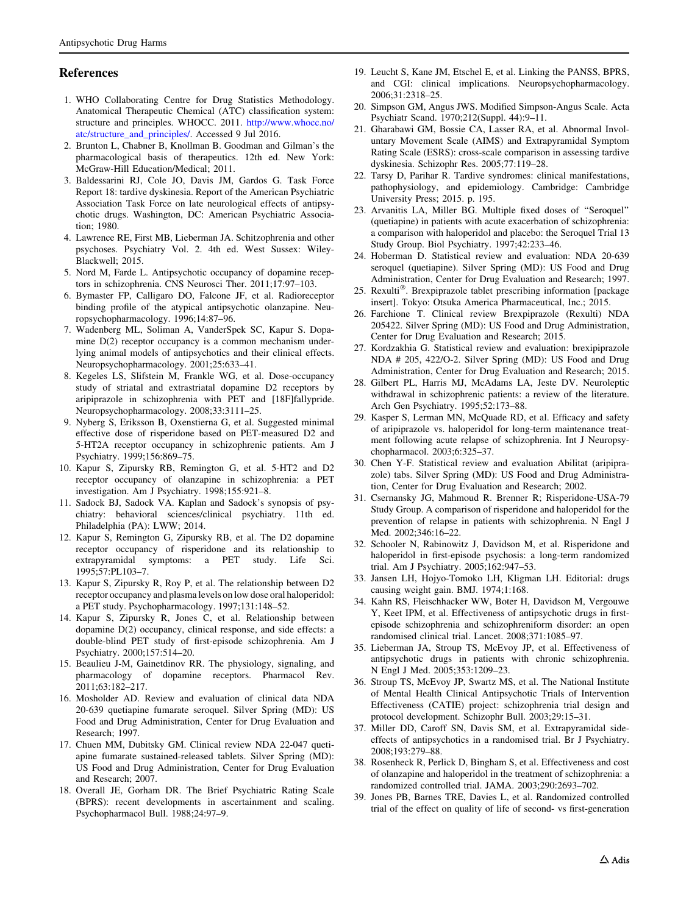## <span id="page-10-0"></span>References

- 1. WHO Collaborating Centre for Drug Statistics Methodology. Anatomical Therapeutic Chemical (ATC) classification system: structure and principles. WHOCC. 2011. [http://www.whocc.no/](http://www.whocc.no/atc/structure_and_principles/) [atc/structure\\_and\\_principles/](http://www.whocc.no/atc/structure_and_principles/). Accessed 9 Jul 2016.
- 2. Brunton L, Chabner B, Knollman B. Goodman and Gilman's the pharmacological basis of therapeutics. 12th ed. New York: McGraw-Hill Education/Medical; 2011.
- 3. Baldessarini RJ, Cole JO, Davis JM, Gardos G. Task Force Report 18: tardive dyskinesia. Report of the American Psychiatric Association Task Force on late neurological effects of antipsychotic drugs. Washington, DC: American Psychiatric Association; 1980.
- 4. Lawrence RE, First MB, Lieberman JA. Schitzophrenia and other psychoses. Psychiatry Vol. 2. 4th ed. West Sussex: Wiley-Blackwell; 2015.
- 5. Nord M, Farde L. Antipsychotic occupancy of dopamine receptors in schizophrenia. CNS Neurosci Ther. 2011;17:97–103.
- 6. Bymaster FP, Calligaro DO, Falcone JF, et al. Radioreceptor binding profile of the atypical antipsychotic olanzapine. Neuropsychopharmacology. 1996;14:87–96.
- 7. Wadenberg ML, Soliman A, VanderSpek SC, Kapur S. Dopamine D(2) receptor occupancy is a common mechanism underlying animal models of antipsychotics and their clinical effects. Neuropsychopharmacology. 2001;25:633–41.
- 8. Kegeles LS, Slifstein M, Frankle WG, et al. Dose-occupancy study of striatal and extrastriatal dopamine D2 receptors by aripiprazole in schizophrenia with PET and [18F]fallypride. Neuropsychopharmacology. 2008;33:3111–25.
- 9. Nyberg S, Eriksson B, Oxenstierna G, et al. Suggested minimal effective dose of risperidone based on PET-measured D2 and 5-HT2A receptor occupancy in schizophrenic patients. Am J Psychiatry. 1999;156:869–75.
- 10. Kapur S, Zipursky RB, Remington G, et al. 5-HT2 and D2 receptor occupancy of olanzapine in schizophrenia: a PET investigation. Am J Psychiatry. 1998;155:921–8.
- 11. Sadock BJ, Sadock VA. Kaplan and Sadock's synopsis of psychiatry: behavioral sciences/clinical psychiatry. 11th ed. Philadelphia (PA): LWW; 2014.
- 12. Kapur S, Remington G, Zipursky RB, et al. The D2 dopamine receptor occupancy of risperidone and its relationship to extrapyramidal symptoms: a PET study. Life Sci. 1995;57:PL103–7.
- 13. Kapur S, Zipursky R, Roy P, et al. The relationship between D2 receptor occupancy and plasma levels on low dose oral haloperidol: a PET study. Psychopharmacology. 1997;131:148–52.
- 14. Kapur S, Zipursky R, Jones C, et al. Relationship between dopamine D(2) occupancy, clinical response, and side effects: a double-blind PET study of first-episode schizophrenia. Am J Psychiatry. 2000;157:514–20.
- 15. Beaulieu J-M, Gainetdinov RR. The physiology, signaling, and pharmacology of dopamine receptors. Pharmacol Rev. 2011;63:182–217.
- 16. Mosholder AD. Review and evaluation of clinical data NDA 20-639 quetiapine fumarate seroquel. Silver Spring (MD): US Food and Drug Administration, Center for Drug Evaluation and Research; 1997.
- 17. Chuen MM, Dubitsky GM. Clinical review NDA 22-047 quetiapine fumarate sustained-released tablets. Silver Spring (MD): US Food and Drug Administration, Center for Drug Evaluation and Research; 2007.
- 18. Overall JE, Gorham DR. The Brief Psychiatric Rating Scale (BPRS): recent developments in ascertainment and scaling. Psychopharmacol Bull. 1988;24:97–9.
- 19. Leucht S, Kane JM, Etschel E, et al. Linking the PANSS, BPRS, and CGI: clinical implications. Neuropsychopharmacology. 2006;31:2318–25.
- 20. Simpson GM, Angus JWS. Modified Simpson-Angus Scale. Acta Psychiatr Scand. 1970;212(Suppl. 44):9–11.
- 21. Gharabawi GM, Bossie CA, Lasser RA, et al. Abnormal Involuntary Movement Scale (AIMS) and Extrapyramidal Symptom Rating Scale (ESRS): cross-scale comparison in assessing tardive dyskinesia. Schizophr Res. 2005;77:119–28.
- 22. Tarsy D, Parihar R. Tardive syndromes: clinical manifestations, pathophysiology, and epidemiology. Cambridge: Cambridge University Press; 2015. p. 195.
- 23. Arvanitis LA, Miller BG. Multiple fixed doses of ''Seroquel'' (quetiapine) in patients with acute exacerbation of schizophrenia: a comparison with haloperidol and placebo: the Seroquel Trial 13 Study Group. Biol Psychiatry. 1997;42:233–46.
- 24. Hoberman D. Statistical review and evaluation: NDA 20-639 seroquel (quetiapine). Silver Spring (MD): US Food and Drug Administration, Center for Drug Evaluation and Research; 1997.
- 25. Rexulti<sup>®</sup>. Brexpiprazole tablet prescribing information [package insert]. Tokyo: Otsuka America Pharmaceutical, Inc.; 2015.
- 26. Farchione T. Clinical review Brexpiprazole (Rexulti) NDA 205422. Silver Spring (MD): US Food and Drug Administration, Center for Drug Evaluation and Research; 2015.
- 27. Kordzakhia G. Statistical review and evaluation: brexipiprazole NDA # 205, 422/O-2. Silver Spring (MD): US Food and Drug Administration, Center for Drug Evaluation and Research; 2015.
- 28. Gilbert PL, Harris MJ, McAdams LA, Jeste DV. Neuroleptic withdrawal in schizophrenic patients: a review of the literature. Arch Gen Psychiatry. 1995;52:173–88.
- 29. Kasper S, Lerman MN, McQuade RD, et al. Efficacy and safety of aripiprazole vs. haloperidol for long-term maintenance treatment following acute relapse of schizophrenia. Int J Neuropsychopharmacol. 2003;6:325–37.
- 30. Chen Y-F. Statistical review and evaluation Abilitat (aripiprazole) tabs. Silver Spring (MD): US Food and Drug Administration, Center for Drug Evaluation and Research; 2002.
- 31. Csernansky JG, Mahmoud R. Brenner R; Risperidone-USA-79 Study Group. A comparison of risperidone and haloperidol for the prevention of relapse in patients with schizophrenia. N Engl J Med. 2002;346:16–22.
- 32. Schooler N, Rabinowitz J, Davidson M, et al. Risperidone and haloperidol in first-episode psychosis: a long-term randomized trial. Am J Psychiatry. 2005;162:947–53.
- 33. Jansen LH, Hojyo-Tomoko LH, Kligman LH. Editorial: drugs causing weight gain. BMJ. 1974;1:168.
- 34. Kahn RS, Fleischhacker WW, Boter H, Davidson M, Vergouwe Y, Keet IPM, et al. Effectiveness of antipsychotic drugs in firstepisode schizophrenia and schizophreniform disorder: an open randomised clinical trial. Lancet. 2008;371:1085–97.
- 35. Lieberman JA, Stroup TS, McEvoy JP, et al. Effectiveness of antipsychotic drugs in patients with chronic schizophrenia. N Engl J Med. 2005;353:1209–23.
- 36. Stroup TS, McEvoy JP, Swartz MS, et al. The National Institute of Mental Health Clinical Antipsychotic Trials of Intervention Effectiveness (CATIE) project: schizophrenia trial design and protocol development. Schizophr Bull. 2003;29:15–31.
- 37. Miller DD, Caroff SN, Davis SM, et al. Extrapyramidal sideeffects of antipsychotics in a randomised trial. Br J Psychiatry. 2008;193:279–88.
- 38. Rosenheck R, Perlick D, Bingham S, et al. Effectiveness and cost of olanzapine and haloperidol in the treatment of schizophrenia: a randomized controlled trial. JAMA. 2003;290:2693–702.
- 39. Jones PB, Barnes TRE, Davies L, et al. Randomized controlled trial of the effect on quality of life of second- vs first-generation